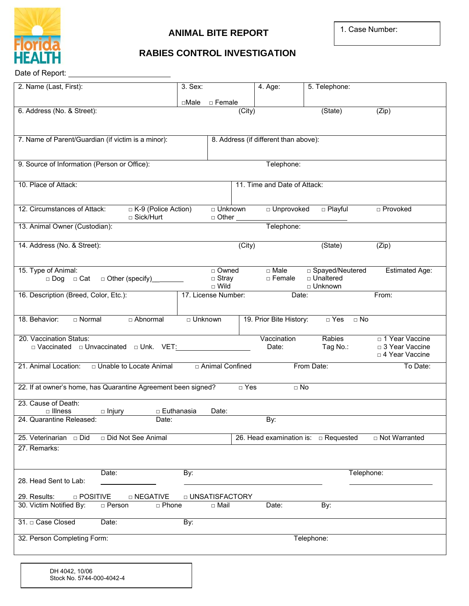

## **ANIMAL BITE REPORT**

1. Case Number:

## **RABIES CONTROL INVESTIGATION**

Date of Report: \_

| 2. Name (Last, First):                                                                      |                                    | 3. Sex:              |                              | 4. Age:                            | 5. Telephone:                             |                       |
|---------------------------------------------------------------------------------------------|------------------------------------|----------------------|------------------------------|------------------------------------|-------------------------------------------|-----------------------|
|                                                                                             |                                    |                      | $\Box$ Male $\Box$ Female    |                                    |                                           |                       |
| 6. Address (No. & Street):                                                                  |                                    |                      | (City)                       |                                    | (State)                                   | (Zip)                 |
|                                                                                             |                                    |                      |                              |                                    |                                           |                       |
| 7. Name of Parent/Guardian (if victim is a minor):<br>8. Address (if different than above): |                                    |                      |                              |                                    |                                           |                       |
|                                                                                             |                                    |                      |                              |                                    |                                           |                       |
|                                                                                             |                                    |                      |                              |                                    |                                           |                       |
| 9. Source of Information (Person or Office):<br>Telephone:                                  |                                    |                      |                              |                                    |                                           |                       |
| 10. Place of Attack:                                                                        |                                    |                      | 11. Time and Date of Attack: |                                    |                                           |                       |
|                                                                                             |                                    |                      |                              |                                    |                                           |                       |
| 12. Circumstances of Attack:                                                                | □ K-9 (Police Action)              |                      | D Unknown                    | □ Unprovoked                       | D Playful                                 | <b>D</b> Provoked     |
|                                                                                             | □ Sick/Hurt                        |                      | □ Other                      |                                    |                                           |                       |
| 13. Animal Owner (Custodian):                                                               | Telephone:                         |                      |                              |                                    |                                           |                       |
| 14. Address (No. & Street):                                                                 |                                    |                      | (City)                       |                                    | (State)                                   |                       |
|                                                                                             |                                    |                      |                              |                                    |                                           | (Zip)                 |
|                                                                                             |                                    |                      |                              |                                    |                                           |                       |
| 15. Type of Animal:                                                                         | □ Dog □ Cat □ Other (specify) ____ |                      | □ Owned<br>□ Stray           | $\Box$ Male<br>□ Female            | □ Spayed/Neutered<br>□ Unaltered          | <b>Estimated Age:</b> |
|                                                                                             |                                    |                      | $\Box$ Wild                  |                                    | □ Unknown                                 |                       |
| 16. Description (Breed, Color, Etc.):                                                       |                                    |                      | 17. License Number:          | Date:                              |                                           | From:                 |
|                                                                                             |                                    |                      |                              |                                    |                                           |                       |
| 18. Behavior:<br>$\Box$ Normal                                                              | D Abnormal                         | □ Unknown            |                              | 19. Prior Bite History:            | $\Box$ Yes<br>$\Box$ No                   |                       |
|                                                                                             |                                    |                      |                              |                                    |                                           |                       |
| 20. Vaccination Status:<br>D Vaccinated D Unvaccinated D Unk. VET:                          |                                    | Vaccination<br>Date: | Rabies<br>Tag No.:           | 1 Year Vaccine<br>□ 3 Year Vaccine |                                           |                       |
|                                                                                             |                                    |                      |                              |                                    |                                           | □ 4 Year Vaccine      |
| 21. Animal Location:<br>□ Unable to Locate Animal<br>Animal Confined                        |                                    |                      |                              | From Date:<br>To Date:             |                                           |                       |
|                                                                                             |                                    |                      |                              |                                    |                                           |                       |
| 22. If at owner's home, has Quarantine Agreement been signed?<br>$\Box$ Yes<br>$\Box$ No    |                                    |                      |                              |                                    |                                           |                       |
| 23. Cause of Death:                                                                         |                                    |                      |                              |                                    |                                           |                       |
| □ Illness<br>24. Quarantine Released:                                                       | □ Euthanasia<br>$\Box$ Injury      |                      | Date:                        |                                    |                                           |                       |
|                                                                                             | Date:                              |                      |                              | By:                                |                                           |                       |
|                                                                                             | Did Not See Animal                 |                      |                              |                                    | 26. Head examination is: $\Box$ Requested | □ Not Warranted       |
| 27. Remarks:                                                                                |                                    |                      |                              |                                    |                                           |                       |
|                                                                                             |                                    |                      |                              |                                    |                                           |                       |
|                                                                                             | Date:                              | By:                  |                              |                                    | Telephone:                                |                       |
| 28. Head Sent to Lab:                                                                       |                                    |                      |                              |                                    |                                           |                       |
| 29. Results:<br>□ POSITIVE<br>□ NEGATIVE<br>□ UNSATISFACTORY                                |                                    |                      |                              |                                    |                                           |                       |
| 30. Victim Notified By:                                                                     | □ Person<br>□ Phone                |                      | $\square$ Mail               | Date:                              | By:                                       |                       |
| 31. □ Case Closed                                                                           | Date:                              | By:                  |                              |                                    |                                           |                       |
|                                                                                             |                                    |                      |                              |                                    |                                           |                       |
| 32. Person Completing Form:                                                                 |                                    | Telephone:           |                              |                                    |                                           |                       |
|                                                                                             |                                    |                      |                              |                                    |                                           |                       |
|                                                                                             |                                    |                      |                              |                                    |                                           |                       |

DH 4042, 10/06 Stock No. 5744-000-4042-4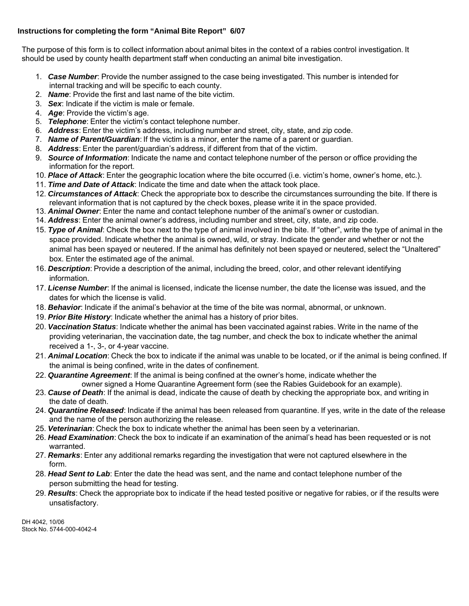## **Instructions for completing the form "Animal Bite Report" 6/07**

The purpose of this form is to collect information about animal bites in the context of a rabies control investigation. It should be used by county health department staff when conducting an animal bite investigation.

- 1. *Case Number*: Provide the number assigned to the case being investigated. This number is intended for internal tracking and will be specific to each county.
- 2. *Name*: Provide the first and last name of the bite victim.
- 3. *Sex*: Indicate if the victim is male or female.
- 4. *Age*: Provide the victim's age.
- 5. *Telephone*: Enter the victim's contact telephone number.
- 6. *Address*: Enter the victim's address, including number and street, city, state, and zip code.
- 7. *Name of Parent/Guardian*: If the victim is a minor, enter the name of a parent or guardian.
- 8. *Address*: Enter the parent/guardian's address, if different from that of the victim.
- 9. *Source of Information*: Indicate the name and contact telephone number of the person or office providing the information for the report.
- 10. *Place of Attack*: Enter the geographic location where the bite occurred (i.e. victim's home, owner's home, etc.).
- 11. *Time and Date of Attack*: Indicate the time and date when the attack took place.
- 12. *Circumstances of Attack*: Check the appropriate box to describe the circumstances surrounding the bite. If there is relevant information that is not captured by the check boxes, please write it in the space provided.
- 13. *Animal Owner*: Enter the name and contact telephone number of the animal's owner or custodian.
- 14. *Address*: Enter the animal owner's address, including number and street, city, state, and zip code.
- 15. *Type of Animal*: Check the box next to the type of animal involved in the bite. If "other", write the type of animal in the space provided. Indicate whether the animal is owned, wild, or stray. Indicate the gender and whether or not the animal has been spayed or neutered. If the animal has definitely not been spayed or neutered, select the "Unaltered" box. Enter the estimated age of the animal.
- 16. *Description*: Provide a description of the animal, including the breed, color, and other relevant identifying information.
- 17. *License Number*: If the animal is licensed, indicate the license number, the date the license was issued, and the dates for which the license is valid.
- 18. *Behavior*: Indicate if the animal's behavior at the time of the bite was normal, abnormal, or unknown.
- 19. *Prior Bite History*: Indicate whether the animal has a history of prior bites.
- 20. *Vaccination Status*: Indicate whether the animal has been vaccinated against rabies. Write in the name of the providing veterinarian, the vaccination date, the tag number, and check the box to indicate whether the animal received a 1-, 3-, or 4-year vaccine.
- 21. *Animal Location*: Check the box to indicate if the animal was unable to be located, or if the animal is being confined. If the animal is being confined, write in the dates of confinement.
- 22. *Quarantine Agreement*: If the animal is being confined at the owner's home, indicate whether the owner signed a Home Quarantine Agreement form (see the Rabies Guidebook for an example).
- 23. *Cause of Death*: If the animal is dead, indicate the cause of death by checking the appropriate box, and writing in the date of death.
- 24. *Quarantine Released*: Indicate if the animal has been released from quarantine. If yes, write in the date of the release and the name of the person authorizing the release.
- 25. *Veterinarian*: Check the box to indicate whether the animal has been seen by a veterinarian.
- 26. *Head Examination*: Check the box to indicate if an examination of the animal's head has been requested or is not warranted.
- 27. *Remarks*: Enter any additional remarks regarding the investigation that were not captured elsewhere in the form.
- 28. *Head Sent to Lab*: Enter the date the head was sent, and the name and contact telephone number of the person submitting the head for testing.
- 29. *Results*: Check the appropriate box to indicate if the head tested positive or negative for rabies, or if the results were unsatisfactory.

DH 4042, 10/06 Stock No. 5744-000-4042-4